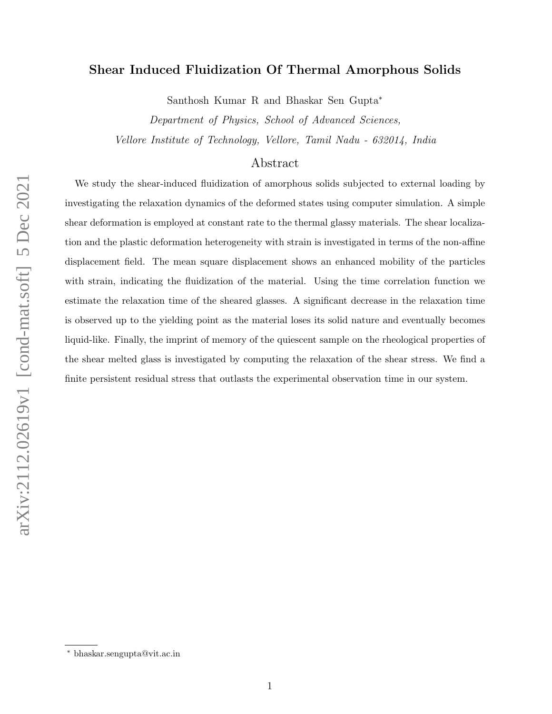# Shear Induced Fluidization Of Thermal Amorphous Solids

Santhosh Kumar R and Bhaskar Sen Gupta<sup>∗</sup>

Department of Physics, School of Advanced Sciences, Vellore Institute of Technology, Vellore, Tamil Nadu - 632014, India

## Abstract

We study the shear-induced fluidization of amorphous solids subjected to external loading by investigating the relaxation dynamics of the deformed states using computer simulation. A simple shear deformation is employed at constant rate to the thermal glassy materials. The shear localization and the plastic deformation heterogeneity with strain is investigated in terms of the non-affine displacement field. The mean square displacement shows an enhanced mobility of the particles with strain, indicating the fluidization of the material. Using the time correlation function we estimate the relaxation time of the sheared glasses. A significant decrease in the relaxation time is observed up to the yielding point as the material loses its solid nature and eventually becomes liquid-like. Finally, the imprint of memory of the quiescent sample on the rheological properties of the shear melted glass is investigated by computing the relaxation of the shear stress. We find a finite persistent residual stress that outlasts the experimental observation time in our system.

<sup>∗</sup> bhaskar.sengupta@vit.ac.in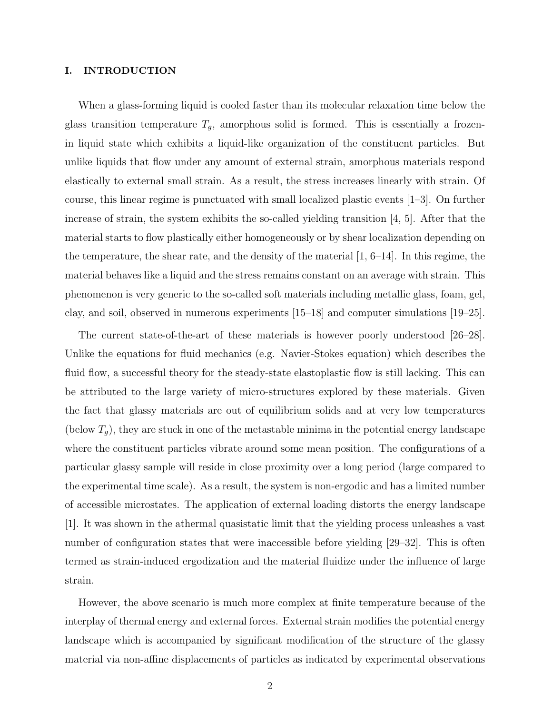### I. INTRODUCTION

When a glass-forming liquid is cooled faster than its molecular relaxation time below the glass transition temperature  $T_g$ , amorphous solid is formed. This is essentially a frozenin liquid state which exhibits a liquid-like organization of the constituent particles. But unlike liquids that flow under any amount of external strain, amorphous materials respond elastically to external small strain. As a result, the stress increases linearly with strain. Of course, this linear regime is punctuated with small localized plastic events [1–3]. On further increase of strain, the system exhibits the so-called yielding transition [4, 5]. After that the material starts to flow plastically either homogeneously or by shear localization depending on the temperature, the shear rate, and the density of the material  $(1, 6-14)$ . In this regime, the material behaves like a liquid and the stress remains constant on an average with strain. This phenomenon is very generic to the so-called soft materials including metallic glass, foam, gel, clay, and soil, observed in numerous experiments [15–18] and computer simulations [19–25].

The current state-of-the-art of these materials is however poorly understood [26–28]. Unlike the equations for fluid mechanics (e.g. Navier-Stokes equation) which describes the fluid flow, a successful theory for the steady-state elastoplastic flow is still lacking. This can be attributed to the large variety of micro-structures explored by these materials. Given the fact that glassy materials are out of equilibrium solids and at very low temperatures (below  $T_g$ ), they are stuck in one of the metastable minima in the potential energy landscape where the constituent particles vibrate around some mean position. The configurations of a particular glassy sample will reside in close proximity over a long period (large compared to the experimental time scale). As a result, the system is non-ergodic and has a limited number of accessible microstates. The application of external loading distorts the energy landscape [1]. It was shown in the athermal quasistatic limit that the yielding process unleashes a vast number of configuration states that were inaccessible before yielding [29–32]. This is often termed as strain-induced ergodization and the material fluidize under the influence of large strain.

However, the above scenario is much more complex at finite temperature because of the interplay of thermal energy and external forces. External strain modifies the potential energy landscape which is accompanied by significant modification of the structure of the glassy material via non-affine displacements of particles as indicated by experimental observations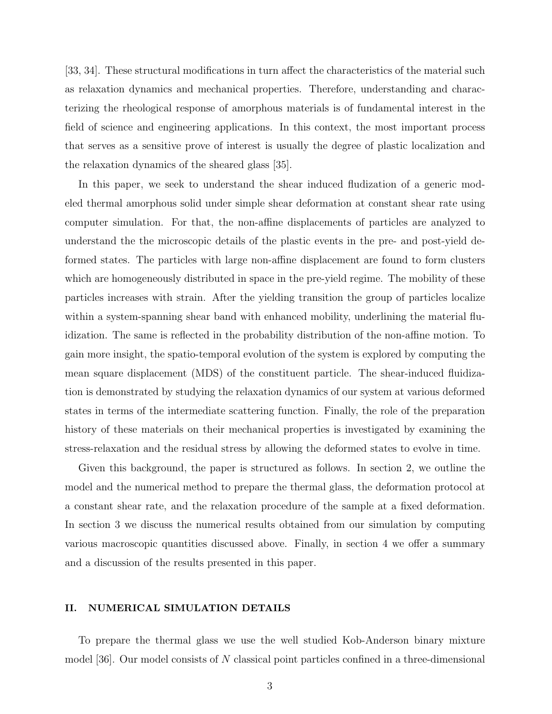[33, 34]. These structural modifications in turn affect the characteristics of the material such as relaxation dynamics and mechanical properties. Therefore, understanding and characterizing the rheological response of amorphous materials is of fundamental interest in the field of science and engineering applications. In this context, the most important process that serves as a sensitive prove of interest is usually the degree of plastic localization and the relaxation dynamics of the sheared glass [35].

In this paper, we seek to understand the shear induced fludization of a generic modeled thermal amorphous solid under simple shear deformation at constant shear rate using computer simulation. For that, the non-affine displacements of particles are analyzed to understand the the microscopic details of the plastic events in the pre- and post-yield deformed states. The particles with large non-affine displacement are found to form clusters which are homogeneously distributed in space in the pre-yield regime. The mobility of these particles increases with strain. After the yielding transition the group of particles localize within a system-spanning shear band with enhanced mobility, underlining the material fluidization. The same is reflected in the probability distribution of the non-affine motion. To gain more insight, the spatio-temporal evolution of the system is explored by computing the mean square displacement (MDS) of the constituent particle. The shear-induced fluidization is demonstrated by studying the relaxation dynamics of our system at various deformed states in terms of the intermediate scattering function. Finally, the role of the preparation history of these materials on their mechanical properties is investigated by examining the stress-relaxation and the residual stress by allowing the deformed states to evolve in time.

Given this background, the paper is structured as follows. In section 2, we outline the model and the numerical method to prepare the thermal glass, the deformation protocol at a constant shear rate, and the relaxation procedure of the sample at a fixed deformation. In section 3 we discuss the numerical results obtained from our simulation by computing various macroscopic quantities discussed above. Finally, in section 4 we offer a summary and a discussion of the results presented in this paper.

## II. NUMERICAL SIMULATION DETAILS

To prepare the thermal glass we use the well studied Kob-Anderson binary mixture model [36]. Our model consists of N classical point particles confined in a three-dimensional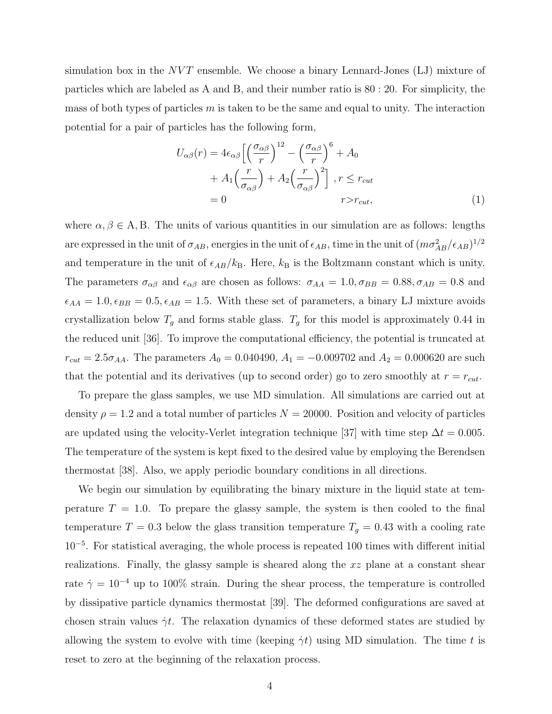simulation box in the  $NVT$  ensemble. We choose a binary Lennard-Jones (LJ) mixture of particles which are labeled as A and B, and their number ratio is 80 : 20. For simplicity, the mass of both types of particles  $m$  is taken to be the same and equal to unity. The interaction potential for a pair of particles has the following form,

$$
U_{\alpha\beta}(r) = 4\epsilon_{\alpha\beta} \left[ \left(\frac{\sigma_{\alpha\beta}}{r}\right)^{12} - \left(\frac{\sigma_{\alpha\beta}}{r}\right)^6 + A_0
$$
  
+  $A_1 \left(\frac{r}{\sigma_{\alpha\beta}}\right) + A_2 \left(\frac{r}{\sigma_{\alpha\beta}}\right)^2 \right], r \le r_{cut}$   
= 0  $r > r_{cut},$  (1)

where  $\alpha, \beta \in A, B$ . The units of various quantities in our simulation are as follows: lengths are expressed in the unit of  $\sigma_{AB}$ , energies in the unit of  $\epsilon_{AB}$ , time in the unit of  $(m\sigma_{AB}^2/\epsilon_{AB})^{1/2}$ and temperature in the unit of  $\epsilon_{AB}/k_B$ . Here,  $k_B$  is the Boltzmann constant which is unity. The parameters  $\sigma_{\alpha\beta}$  and  $\epsilon_{\alpha\beta}$  are chosen as follows:  $\sigma_{AA} = 1.0, \sigma_{BB} = 0.88, \sigma_{AB} = 0.8$  and  $\epsilon_{AA} = 1.0, \epsilon_{BB} = 0.5, \epsilon_{AB} = 1.5$ . With these set of parameters, a binary LJ mixture avoids crystallization below  $T_g$  and forms stable glass.  $T_g$  for this model is approximately 0.44 in the reduced unit [36]. To improve the computational efficiency, the potential is truncated at  $r_{cut} = 2.5\sigma_{AA}$ . The parameters  $A_0 = 0.040490$ ,  $A_1 = -0.009702$  and  $A_2 = 0.000620$  are such that the potential and its derivatives (up to second order) go to zero smoothly at  $r = r_{cut}$ .

To prepare the glass samples, we use MD simulation. All simulations are carried out at density  $\rho = 1.2$  and a total number of particles  $N = 20000$ . Position and velocity of particles are updated using the velocity-Verlet integration technique [37] with time step  $\Delta t = 0.005$ . The temperature of the system is kept fixed to the desired value by employing the Berendsen thermostat [38]. Also, we apply periodic boundary conditions in all directions.

We begin our simulation by equilibrating the binary mixture in the liquid state at temperature  $T = 1.0$ . To prepare the glassy sample, the system is then cooled to the final temperature  $T = 0.3$  below the glass transition temperature  $T_g = 0.43$  with a cooling rate 10<sup>−</sup><sup>5</sup> . For statistical averaging, the whole process is repeated 100 times with different initial realizations. Finally, the glassy sample is sheared along the xz plane at a constant shear rate  $\dot{\gamma} = 10^{-4}$  up to 100% strain. During the shear process, the temperature is controlled by dissipative particle dynamics thermostat [39]. The deformed configurations are saved at chosen strain values  $\dot{\gamma}t$ . The relaxation dynamics of these deformed states are studied by allowing the system to evolve with time (keeping  $\dot{\gamma}t$ ) using MD simulation. The time t is reset to zero at the beginning of the relaxation process.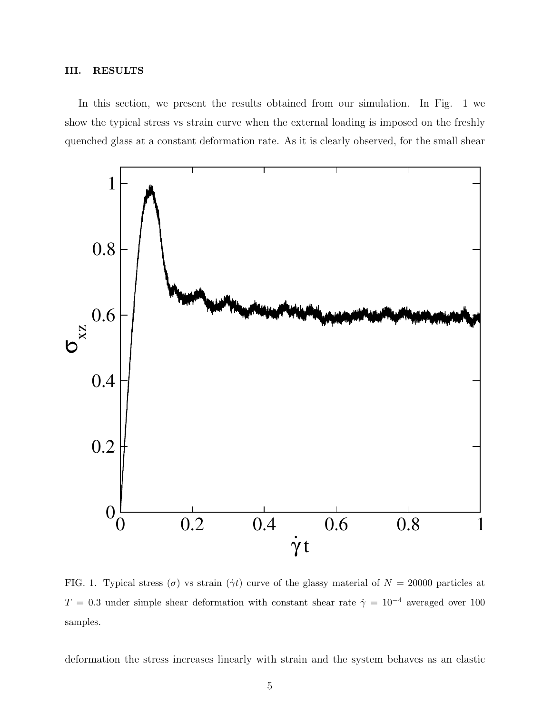## III. RESULTS

In this section, we present the results obtained from our simulation. In Fig. 1 we show the typical stress vs strain curve when the external loading is imposed on the freshly quenched glass at a constant deformation rate. As it is clearly observed, for the small shear



FIG. 1. Typical stress  $(\sigma)$  vs strain  $(\dot{\gamma}t)$  curve of the glassy material of  $N = 20000$  particles at  $T = 0.3$  under simple shear deformation with constant shear rate  $\dot{\gamma} = 10^{-4}$  averaged over 100 samples.

deformation the stress increases linearly with strain and the system behaves as an elastic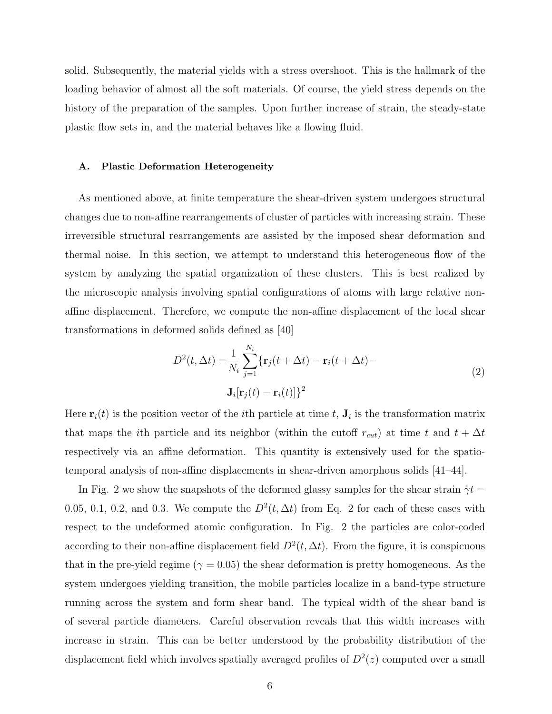solid. Subsequently, the material yields with a stress overshoot. This is the hallmark of the loading behavior of almost all the soft materials. Of course, the yield stress depends on the history of the preparation of the samples. Upon further increase of strain, the steady-state plastic flow sets in, and the material behaves like a flowing fluid.

#### A. Plastic Deformation Heterogeneity

As mentioned above, at finite temperature the shear-driven system undergoes structural changes due to non-affine rearrangements of cluster of particles with increasing strain. These irreversible structural rearrangements are assisted by the imposed shear deformation and thermal noise. In this section, we attempt to understand this heterogeneous flow of the system by analyzing the spatial organization of these clusters. This is best realized by the microscopic analysis involving spatial configurations of atoms with large relative nonaffine displacement. Therefore, we compute the non-affine displacement of the local shear transformations in deformed solids defined as [40]

$$
D^{2}(t, \Delta t) = \frac{1}{N_{i}} \sum_{j=1}^{N_{i}} \{ \mathbf{r}_{j}(t + \Delta t) - \mathbf{r}_{i}(t + \Delta t) - \mathbf{J}_{i}[\mathbf{r}_{j}(t) - \mathbf{r}_{i}(t)] \}^{2}
$$
\n(2)

Here  $\mathbf{r}_i(t)$  is the position vector of the *i*<sup>th</sup> particle at time t,  $\mathbf{J}_i$  is the transformation matrix that maps the *i*th particle and its neighbor (within the cutoff  $r_{cut}$ ) at time t and  $t + \Delta t$ respectively via an affine deformation. This quantity is extensively used for the spatiotemporal analysis of non-affine displacements in shear-driven amorphous solids [41–44].

In Fig. 2 we show the snapshots of the deformed glassy samples for the shear strain  $\dot{\gamma}t =$ 0.05, 0.1, 0.2, and 0.3. We compute the  $D^2(t, \Delta t)$  from Eq. 2 for each of these cases with respect to the undeformed atomic configuration. In Fig. 2 the particles are color-coded according to their non-affine displacement field  $D^2(t, \Delta t)$ . From the figure, it is conspicuous that in the pre-yield regime ( $\gamma = 0.05$ ) the shear deformation is pretty homogeneous. As the system undergoes yielding transition, the mobile particles localize in a band-type structure running across the system and form shear band. The typical width of the shear band is of several particle diameters. Careful observation reveals that this width increases with increase in strain. This can be better understood by the probability distribution of the displacement field which involves spatially averaged profiles of  $D^2(z)$  computed over a small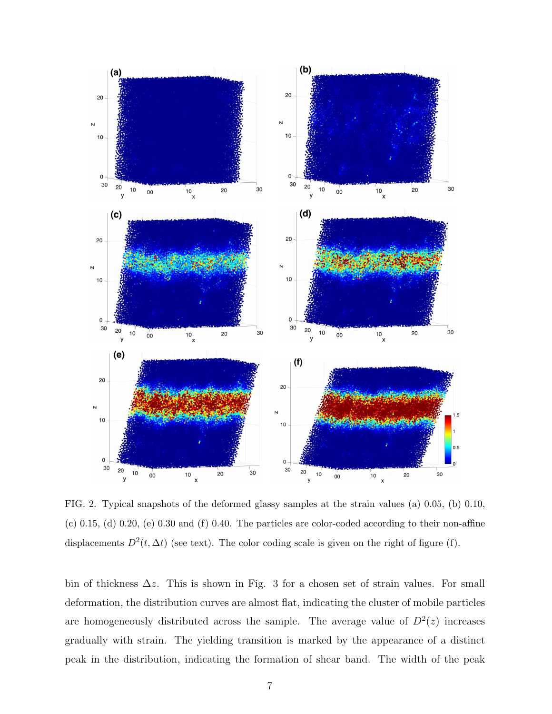

FIG. 2. Typical snapshots of the deformed glassy samples at the strain values (a) 0.05, (b) 0.10,  $(c)$  0.15, (d) 0.20, (e) 0.30 and (f) 0.40. The particles are color-coded according to their non-affine displacements  $D^2(t, \Delta t)$  (see text). The color coding scale is given on the right of figure (f).

bin of thickness  $\Delta z$ . This is shown in Fig. 3 for a chosen set of strain values. For small deformation, the distribution curves are almost flat, indicating the cluster of mobile particles are homogeneously distributed across the sample. The average value of  $D^2(z)$  increases gradually with strain. The yielding transition is marked by the appearance of a distinct peak in the distribution, indicating the formation of shear band. The width of the peak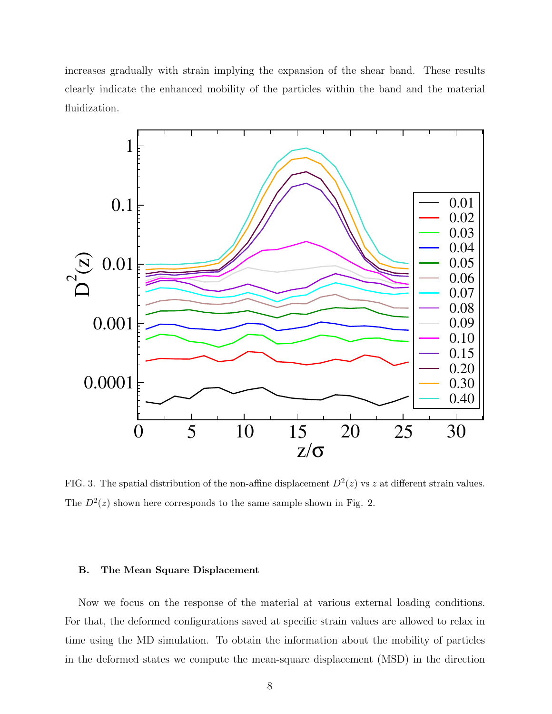increases gradually with strain implying the expansion of the shear band. These results clearly indicate the enhanced mobility of the particles within the band and the material fluidization.



FIG. 3. The spatial distribution of the non-affine displacement  $D^2(z)$  vs z at different strain values. The  $D^2(z)$  shown here corresponds to the same sample shown in Fig. 2.

## B. The Mean Square Displacement

Now we focus on the response of the material at various external loading conditions. For that, the deformed configurations saved at specific strain values are allowed to relax in time using the MD simulation. To obtain the information about the mobility of particles in the deformed states we compute the mean-square displacement (MSD) in the direction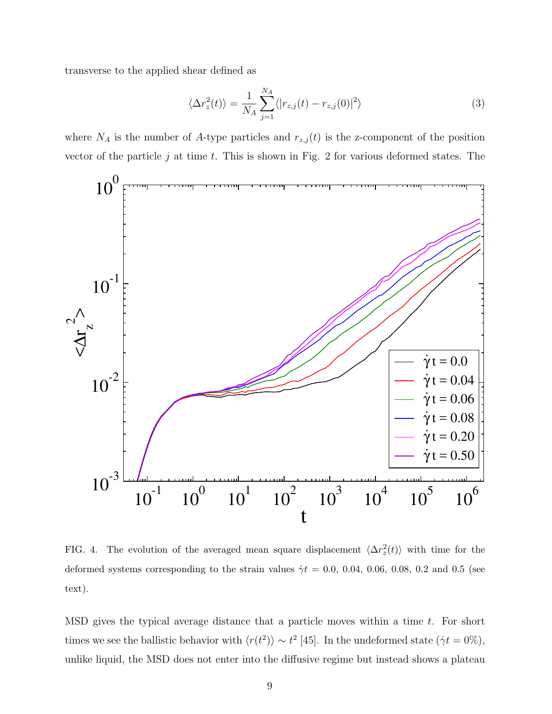transverse to the applied shear defined as

$$
\langle \Delta r_z^2(t) \rangle = \frac{1}{N_A} \sum_{j=1}^{N_A} \langle |r_{z,j}(t) - r_{z,j}(0)|^2 \rangle \tag{3}
$$

where  $N_A$  is the number of A-type particles and  $r_{z,j}(t)$  is the z-component of the position vector of the particle  $j$  at time  $t$ . This is shown in Fig. 2 for various deformed states. The



FIG. 4. The evolution of the averaged mean square displacement  $\langle \Delta r_z^2(t) \rangle$  with time for the deformed systems corresponding to the strain values  $\dot{\gamma}t = 0.0, 0.04, 0.06, 0.08, 0.2$  and 0.5 (see text).

MSD gives the typical average distance that a particle moves within a time  $t$ . For short times we see the ballistic behavior with  $\langle r(t^2) \rangle \sim t^2$  [45]. In the undeformed state  $(\dot{\gamma}t = 0\%)$ , unlike liquid, the MSD does not enter into the diffusive regime but instead shows a plateau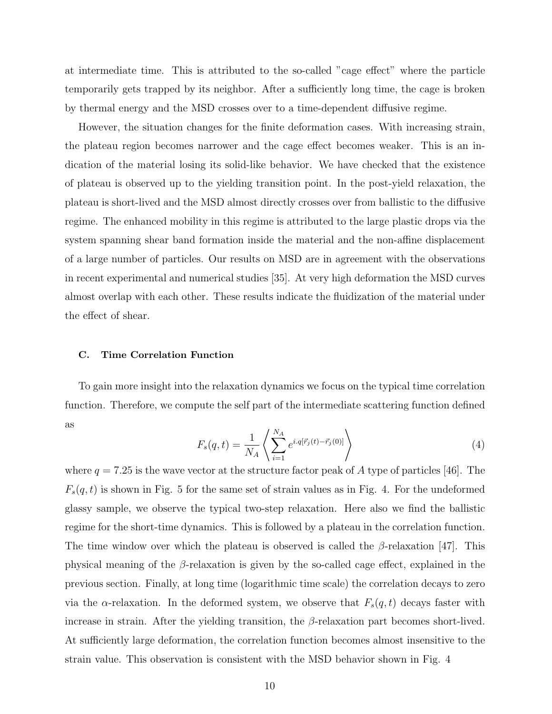at intermediate time. This is attributed to the so-called "cage effect" where the particle temporarily gets trapped by its neighbor. After a sufficiently long time, the cage is broken by thermal energy and the MSD crosses over to a time-dependent diffusive regime.

However, the situation changes for the finite deformation cases. With increasing strain, the plateau region becomes narrower and the cage effect becomes weaker. This is an indication of the material losing its solid-like behavior. We have checked that the existence of plateau is observed up to the yielding transition point. In the post-yield relaxation, the plateau is short-lived and the MSD almost directly crosses over from ballistic to the diffusive regime. The enhanced mobility in this regime is attributed to the large plastic drops via the system spanning shear band formation inside the material and the non-affine displacement of a large number of particles. Our results on MSD are in agreement with the observations in recent experimental and numerical studies [35]. At very high deformation the MSD curves almost overlap with each other. These results indicate the fluidization of the material under the effect of shear.

### C. Time Correlation Function

To gain more insight into the relaxation dynamics we focus on the typical time correlation function. Therefore, we compute the self part of the intermediate scattering function defined as

$$
F_s(q,t) = \frac{1}{N_A} \left\langle \sum_{i=1}^{N_A} e^{i.q[\vec{r}_j(t) - \vec{r}_j(0)]} \right\rangle
$$
 (4)

where  $q = 7.25$  is the wave vector at the structure factor peak of A type of particles [46]. The  $F_s(q, t)$  is shown in Fig. 5 for the same set of strain values as in Fig. 4. For the undeformed glassy sample, we observe the typical two-step relaxation. Here also we find the ballistic regime for the short-time dynamics. This is followed by a plateau in the correlation function. The time window over which the plateau is observed is called the  $\beta$ -relaxation [47]. This physical meaning of the  $\beta$ -relaxation is given by the so-called cage effect, explained in the previous section. Finally, at long time (logarithmic time scale) the correlation decays to zero via the  $\alpha$ -relaxation. In the deformed system, we observe that  $F_s(q, t)$  decays faster with increase in strain. After the yielding transition, the  $\beta$ -relaxation part becomes short-lived. At sufficiently large deformation, the correlation function becomes almost insensitive to the strain value. This observation is consistent with the MSD behavior shown in Fig. 4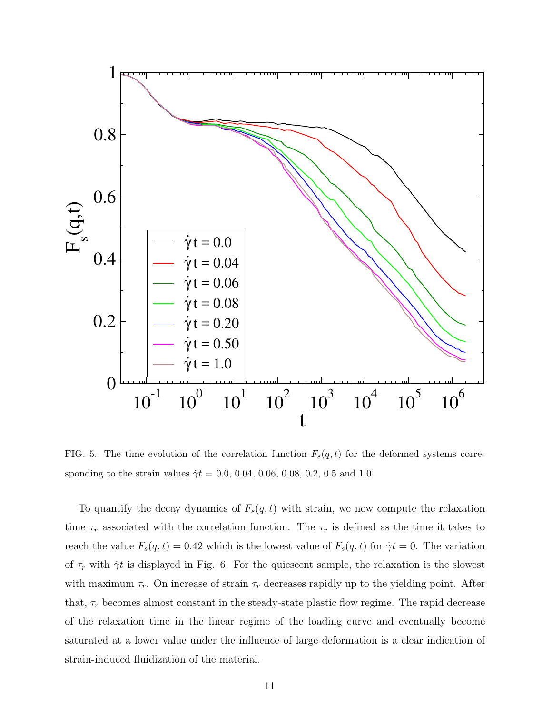

FIG. 5. The time evolution of the correlation function  $F_s(q, t)$  for the deformed systems corresponding to the strain values  $\dot{\gamma}t = 0.0, 0.04, 0.06, 0.08, 0.2, 0.5$  and 1.0.

To quantify the decay dynamics of  $F_s(q, t)$  with strain, we now compute the relaxation time  $\tau_r$  associated with the correlation function. The  $\tau_r$  is defined as the time it takes to reach the value  $F_s(q, t) = 0.42$  which is the lowest value of  $F_s(q, t)$  for  $\dot{\gamma}t = 0$ . The variation of  $\tau_r$  with  $\dot{\gamma}$  is displayed in Fig. 6. For the quiescent sample, the relaxation is the slowest with maximum  $\tau_r$ . On increase of strain  $\tau_r$  decreases rapidly up to the yielding point. After that,  $\tau_r$  becomes almost constant in the steady-state plastic flow regime. The rapid decrease of the relaxation time in the linear regime of the loading curve and eventually become saturated at a lower value under the influence of large deformation is a clear indication of strain-induced fluidization of the material.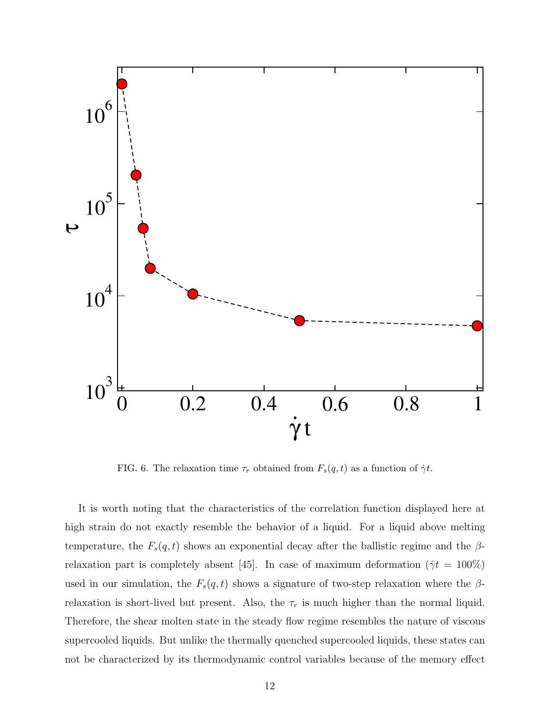

FIG. 6. The relaxation time  $\tau_r$  obtained from  $F_s(q, t)$  as a function of  $\dot{\gamma}t$ .

It is worth noting that the characteristics of the correlation function displayed here at high strain do not exactly resemble the behavior of a liquid. For a liquid above melting temperature, the  $F_s(q, t)$  shows an exponential decay after the ballistic regime and the  $\beta$ relaxation part is completely absent [45]. In case of maximum deformation ( $\dot{\gamma}t = 100\%$ ) used in our simulation, the  $F_s(q, t)$  shows a signature of two-step relaxation where the  $\beta$ relaxation is short-lived but present. Also, the  $\tau_r$  is much higher than the normal liquid. Therefore, the shear molten state in the steady flow regime resembles the nature of viscous supercooled liquids. But unlike the thermally quenched supercooled liquids, these states can not be characterized by its thermodynamic control variables because of the memory effect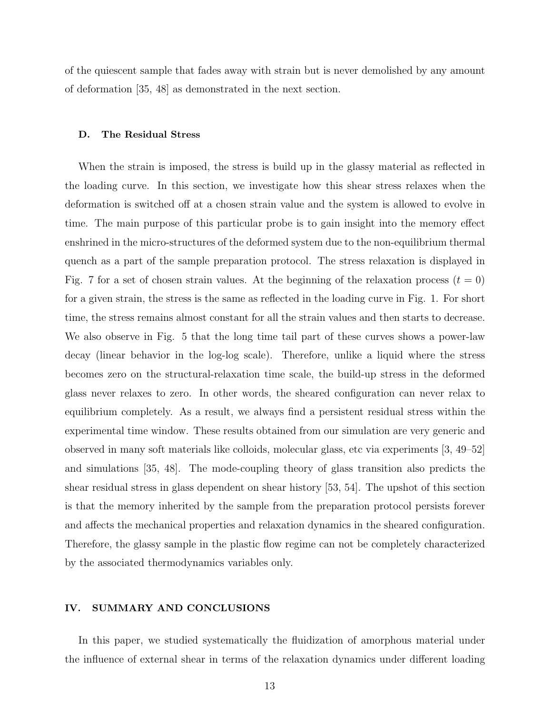of the quiescent sample that fades away with strain but is never demolished by any amount of deformation [35, 48] as demonstrated in the next section.

### D. The Residual Stress

When the strain is imposed, the stress is build up in the glassy material as reflected in the loading curve. In this section, we investigate how this shear stress relaxes when the deformation is switched off at a chosen strain value and the system is allowed to evolve in time. The main purpose of this particular probe is to gain insight into the memory effect enshrined in the micro-structures of the deformed system due to the non-equilibrium thermal quench as a part of the sample preparation protocol. The stress relaxation is displayed in Fig. 7 for a set of chosen strain values. At the beginning of the relaxation process  $(t = 0)$ for a given strain, the stress is the same as reflected in the loading curve in Fig. 1. For short time, the stress remains almost constant for all the strain values and then starts to decrease. We also observe in Fig. 5 that the long time tail part of these curves shows a power-law decay (linear behavior in the log-log scale). Therefore, unlike a liquid where the stress becomes zero on the structural-relaxation time scale, the build-up stress in the deformed glass never relaxes to zero. In other words, the sheared configuration can never relax to equilibrium completely. As a result, we always find a persistent residual stress within the experimental time window. These results obtained from our simulation are very generic and observed in many soft materials like colloids, molecular glass, etc via experiments [3, 49–52] and simulations [35, 48]. The mode-coupling theory of glass transition also predicts the shear residual stress in glass dependent on shear history [53, 54]. The upshot of this section is that the memory inherited by the sample from the preparation protocol persists forever and affects the mechanical properties and relaxation dynamics in the sheared configuration. Therefore, the glassy sample in the plastic flow regime can not be completely characterized by the associated thermodynamics variables only.

## IV. SUMMARY AND CONCLUSIONS

In this paper, we studied systematically the fluidization of amorphous material under the influence of external shear in terms of the relaxation dynamics under different loading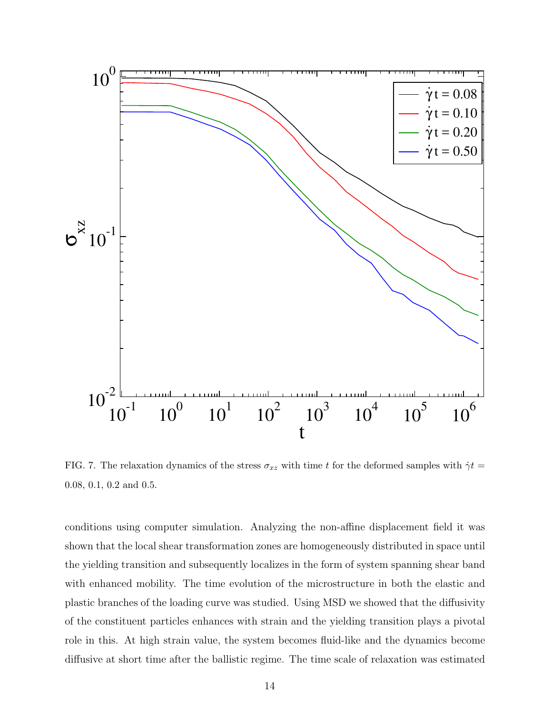

FIG. 7. The relaxation dynamics of the stress  $\sigma_{xz}$  with time t for the deformed samples with  $\dot{\gamma}t$  = 0.08, 0.1, 0.2 and 0.5.

conditions using computer simulation. Analyzing the non-affine displacement field it was shown that the local shear transformation zones are homogeneously distributed in space until the yielding transition and subsequently localizes in the form of system spanning shear band with enhanced mobility. The time evolution of the microstructure in both the elastic and plastic branches of the loading curve was studied. Using MSD we showed that the diffusivity of the constituent particles enhances with strain and the yielding transition plays a pivotal role in this. At high strain value, the system becomes fluid-like and the dynamics become diffusive at short time after the ballistic regime. The time scale of relaxation was estimated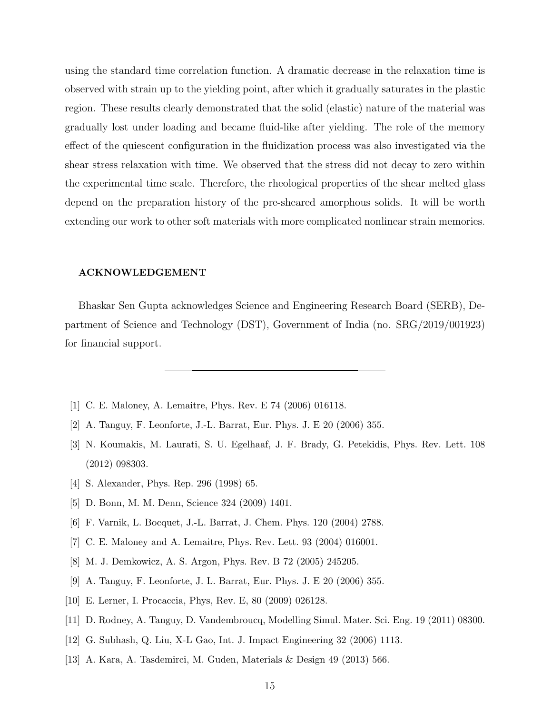using the standard time correlation function. A dramatic decrease in the relaxation time is observed with strain up to the yielding point, after which it gradually saturates in the plastic region. These results clearly demonstrated that the solid (elastic) nature of the material was gradually lost under loading and became fluid-like after yielding. The role of the memory effect of the quiescent configuration in the fluidization process was also investigated via the shear stress relaxation with time. We observed that the stress did not decay to zero within the experimental time scale. Therefore, the rheological properties of the shear melted glass depend on the preparation history of the pre-sheared amorphous solids. It will be worth extending our work to other soft materials with more complicated nonlinear strain memories.

### ACKNOWLEDGEMENT

Bhaskar Sen Gupta acknowledges Science and Engineering Research Board (SERB), Department of Science and Technology (DST), Government of India (no. SRG/2019/001923) for financial support.

- [1] C. E. Maloney, A. Lemaitre, Phys. Rev. E 74 (2006) 016118.
- [2] A. Tanguy, F. Leonforte, J.-L. Barrat, Eur. Phys. J. E 20 (2006) 355.
- [3] N. Koumakis, M. Laurati, S. U. Egelhaaf, J. F. Brady, G. Petekidis, Phys. Rev. Lett. 108 (2012) 098303.
- [4] S. Alexander, Phys. Rep. 296 (1998) 65.
- [5] D. Bonn, M. M. Denn, Science 324 (2009) 1401.
- [6] F. Varnik, L. Bocquet, J.-L. Barrat, J. Chem. Phys. 120 (2004) 2788.
- [7] C. E. Maloney and A. Lemaitre, Phys. Rev. Lett. 93 (2004) 016001.
- [8] M. J. Demkowicz, A. S. Argon, Phys. Rev. B 72 (2005) 245205.
- [9] A. Tanguy, F. Leonforte, J. L. Barrat, Eur. Phys. J. E 20 (2006) 355.
- [10] E. Lerner, I. Procaccia, Phys, Rev. E, 80 (2009) 026128.
- [11] D. Rodney, A. Tanguy, D. Vandembroucq, Modelling Simul. Mater. Sci. Eng. 19 (2011) 08300.
- [12] G. Subhash, Q. Liu, X-L Gao, Int. J. Impact Engineering 32 (2006) 1113.
- [13] A. Kara, A. Tasdemirci, M. Guden, Materials & Design 49 (2013) 566.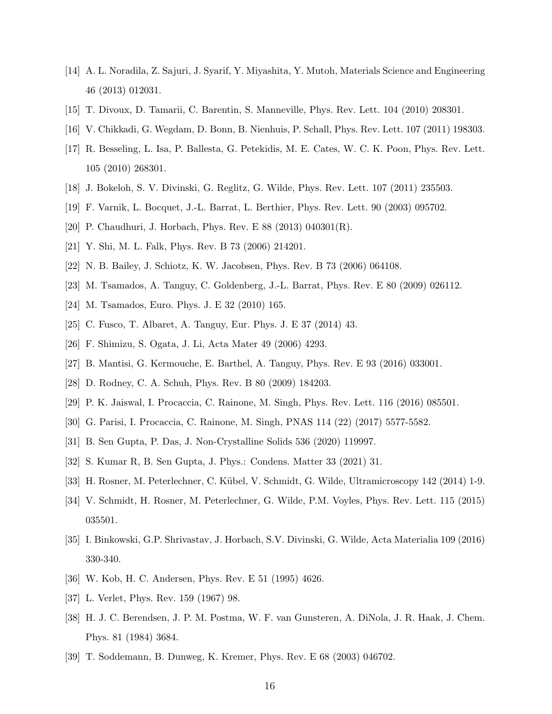- [14] A. L. Noradila, Z. Sajuri, J. Syarif, Y. Miyashita, Y. Mutoh, Materials Science and Engineering 46 (2013) 012031.
- [15] T. Divoux, D. Tamarii, C. Barentin, S. Manneville, Phys. Rev. Lett. 104 (2010) 208301.
- [16] V. Chikkadi, G. Wegdam, D. Bonn, B. Nienhuis, P. Schall, Phys. Rev. Lett. 107 (2011) 198303.
- [17] R. Besseling, L. Isa, P. Ballesta, G. Petekidis, M. E. Cates, W. C. K. Poon, Phys. Rev. Lett. 105 (2010) 268301.
- [18] J. Bokeloh, S. V. Divinski, G. Reglitz, G. Wilde, Phys. Rev. Lett. 107 (2011) 235503.
- [19] F. Varnik, L. Bocquet, J.-L. Barrat, L. Berthier, Phys. Rev. Lett. 90 (2003) 095702.
- [20] P. Chaudhuri, J. Horbach, Phys. Rev. E 88 (2013) 040301(R).
- [21] Y. Shi, M. L. Falk, Phys. Rev. B 73 (2006) 214201.
- [22] N. B. Bailey, J. Schiotz, K. W. Jacobsen, Phys. Rev. B 73 (2006) 064108.
- [23] M. Tsamados, A. Tanguy, C. Goldenberg, J.-L. Barrat, Phys. Rev. E 80 (2009) 026112.
- [24] M. Tsamados, Euro. Phys. J. E 32 (2010) 165.
- [25] C. Fusco, T. Albaret, A. Tanguy, Eur. Phys. J. E 37 (2014) 43.
- [26] F. Shimizu, S. Ogata, J. Li, Acta Mater 49 (2006) 4293.
- [27] B. Mantisi, G. Kermouche, E. Barthel, A. Tanguy, Phys. Rev. E 93 (2016) 033001.
- [28] D. Rodney, C. A. Schuh, Phys. Rev. B 80 (2009) 184203.
- [29] P. K. Jaiswal, I. Procaccia, C. Rainone, M. Singh, Phys. Rev. Lett. 116 (2016) 085501.
- [30] G. Parisi, I. Procaccia, C. Rainone, M. Singh, PNAS 114 (22) (2017) 5577-5582.
- [31] B. Sen Gupta, P. Das, J. Non-Crystalline Solids 536 (2020) 119997.
- [32] S. Kumar R, B. Sen Gupta, J. Phys.: Condens. Matter 33 (2021) 31.
- [33] H. Rosner, M. Peterlechner, C. K¨ubel, V. Schmidt, G. Wilde, Ultramicroscopy 142 (2014) 1-9.
- [34] V. Schmidt, H. Rosner, M. Peterlechner, G. Wilde, P.M. Voyles, Phys. Rev. Lett. 115 (2015) 035501.
- [35] I. Binkowski, G.P. Shrivastav, J. Horbach, S.V. Divinski, G. Wilde, Acta Materialia 109 (2016) 330-340.
- [36] W. Kob, H. C. Andersen, Phys. Rev. E 51 (1995) 4626.
- [37] L. Verlet, Phys. Rev. 159 (1967) 98.
- [38] H. J. C. Berendsen, J. P. M. Postma, W. F. van Gunsteren, A. DiNola, J. R. Haak, J. Chem. Phys. 81 (1984) 3684.
- [39] T. Soddemann, B. Dunweg, K. Kremer, Phys. Rev. E 68 (2003) 046702.